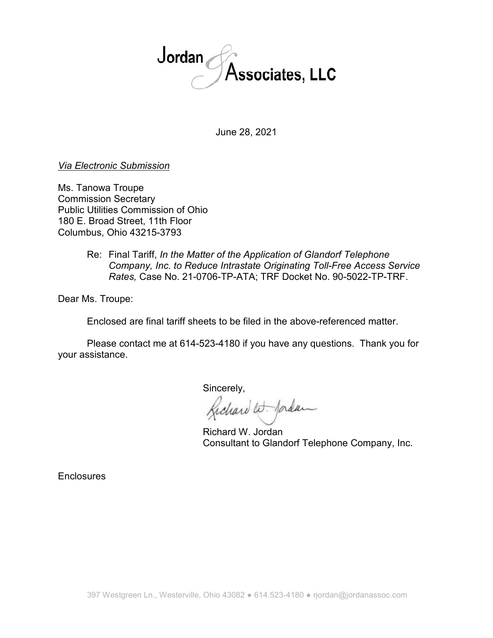

June 28, 2021

## *Via Electronic Submission*

Ms. Tanowa Troupe Commission Secretary Public Utilities Commission of Ohio 180 E. Broad Street, 11th Floor Columbus, Ohio 43215-3793

> Re: Final Tariff, *In the Matter of the Application of Glandorf Telephone Company, Inc. to Reduce Intrastate Originating Toll-Free Access Service Rates,* Case No. 21-0706-TP-ATA; TRF Docket No. 90-5022-TP-TRF.

Dear Ms. Troupe:

Enclosed are final tariff sheets to be filed in the above-referenced matter.

Please contact me at 614-523-4180 if you have any questions. Thank you for your assistance.

Sincerely,

Gichard W. Jordan

 Richard W. Jordan Consultant to Glandorf Telephone Company, Inc.

**Enclosures**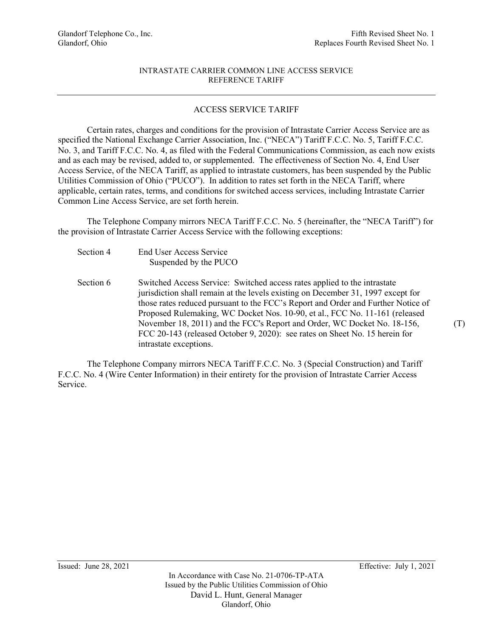#### INTRASTATE CARRIER COMMON LINE ACCESS SERVICE REFERENCE TARIFF

### ACCESS SERVICE TARIFF

 Certain rates, charges and conditions for the provision of Intrastate Carrier Access Service are as specified the National Exchange Carrier Association, Inc. ("NECA") Tariff F.C.C. No. 5, Tariff F.C.C. No. 3, and Tariff F.C.C. No. 4, as filed with the Federal Communications Commission, as each now exists and as each may be revised, added to, or supplemented. The effectiveness of Section No. 4, End User Access Service, of the NECA Tariff, as applied to intrastate customers, has been suspended by the Public Utilities Commission of Ohio ("PUCO"). In addition to rates set forth in the NECA Tariff, where applicable, certain rates, terms, and conditions for switched access services, including Intrastate Carrier Common Line Access Service, are set forth herein.

 The Telephone Company mirrors NECA Tariff F.C.C. No. 5 (hereinafter, the "NECA Tariff") for the provision of Intrastate Carrier Access Service with the following exceptions:

- Section 4 End User Access Service Suspended by the PUCO
- Section 6 Switched Access Service: Switched access rates applied to the intrastate jurisdiction shall remain at the levels existing on December 31, 1997 except for those rates reduced pursuant to the FCC's Report and Order and Further Notice of Proposed Rulemaking, WC Docket Nos. 10-90, et al., FCC No. 11-161 (released November 18, 2011) and the FCC's Report and Order, WC Docket No. 18-156, FCC 20-143 (released October 9, 2020): see rates on Sheet No. 15 herein for intrastate exceptions.

 The Telephone Company mirrors NECA Tariff F.C.C. No. 3 (Special Construction) and Tariff F.C.C. No. 4 (Wire Center Information) in their entirety for the provision of Intrastate Carrier Access Service.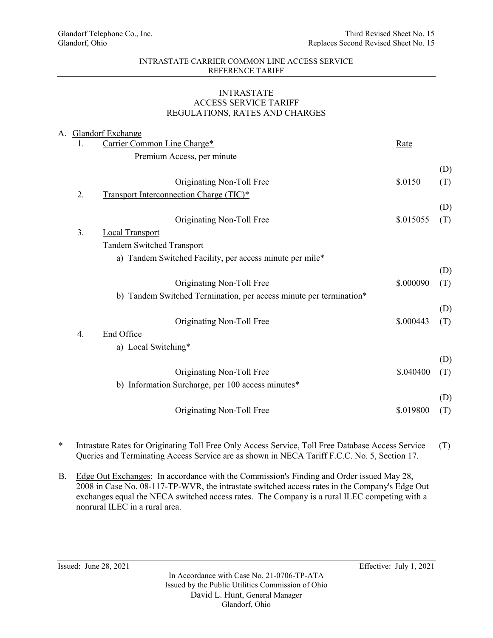#### INTRASTATE CARRIER COMMON LINE ACCESS SERVICE REFERENCE TARIFF

## INTRASTATE ACCESS SERVICE TARIFF REGULATIONS, RATES AND CHARGES

|                | A. Glandorf Exchange                                               |             |     |
|----------------|--------------------------------------------------------------------|-------------|-----|
| 1.             | Carrier Common Line Charge*                                        | <u>Rate</u> |     |
|                | Premium Access, per minute                                         |             |     |
|                |                                                                    |             | (D) |
|                | Originating Non-Toll Free                                          | \$.0150     | (T) |
| 2.             | <b>Transport Interconnection Charge (TIC)*</b>                     |             |     |
|                |                                                                    |             | (D) |
|                | Originating Non-Toll Free                                          | \$.015055   | (T) |
| 3 <sub>1</sub> | <b>Local Transport</b>                                             |             |     |
|                | <b>Tandem Switched Transport</b>                                   |             |     |
|                | a) Tandem Switched Facility, per access minute per mile*           |             |     |
|                |                                                                    |             | (D) |
|                | Originating Non-Toll Free                                          | \$.000090   | (T) |
|                | b) Tandem Switched Termination, per access minute per termination* |             |     |
|                |                                                                    |             | (D) |
|                | Originating Non-Toll Free                                          | \$.000443   | (T) |
| 4.             | End Office                                                         |             |     |
|                | a) Local Switching*                                                |             |     |
|                |                                                                    |             | (D) |
|                | Originating Non-Toll Free                                          | \$.040400   | (T) |
|                |                                                                    |             |     |
|                | b) Information Surcharge, per 100 access minutes*                  |             |     |
|                |                                                                    |             | (D) |
|                | Originating Non-Toll Free                                          | \$.019800   | (T) |
|                |                                                                    |             |     |

- \* Intrastate Rates for Originating Toll Free Only Access Service, Toll Free Database Access Service Queries and Terminating Access Service are as shown in NECA Tariff F.C.C. No. 5, Section 17. (T)
- B. Edge Out Exchanges: In accordance with the Commission's Finding and Order issued May 28, 2008 in Case No. 08-117-TP-WVR, the intrastate switched access rates in the Company's Edge Out exchanges equal the NECA switched access rates. The Company is a rural ILEC competing with a nonrural ILEC in a rural area.